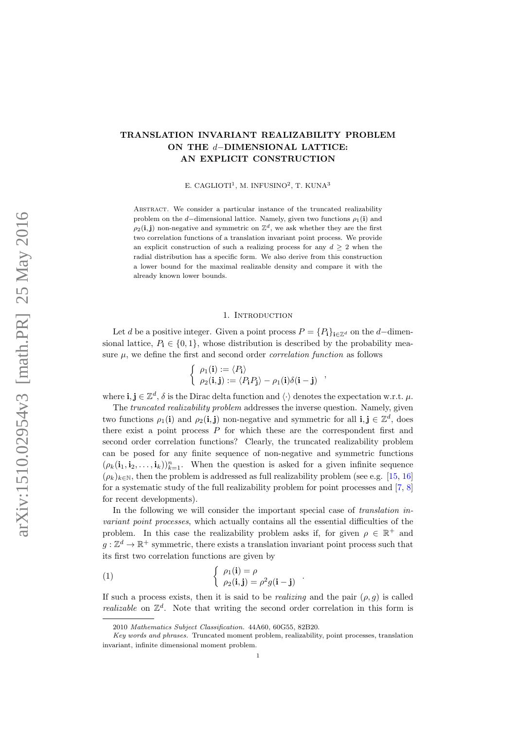# TRANSLATION INVARIANT REALIZABILITY PROBLEM ON THE d−DIMENSIONAL LATTICE: AN EXPLICIT CONSTRUCTION

E. CAGLIOTI<sup>1</sup>, M. INFUSINO<sup>2</sup>, T. KUNA<sup>3</sup>

ABSTRACT. We consider a particular instance of the truncated realizability problem on the d–dimensional lattice. Namely, given two functions  $\rho_1(i)$  and  $\rho_2(i, j)$  non-negative and symmetric on  $\mathbb{Z}^d$ , we ask whether they are the first two correlation functions of a translation invariant point process. We provide an explicit construction of such a realizing process for any  $d \geq 2$  when the radial distribution has a specific form. We also derive from this construction a lower bound for the maximal realizable density and compare it with the already known lower bounds.

#### 1. INTRODUCTION

Let d be a positive integer. Given a point process  $P = \{P_i\}_{i \in \mathbb{Z}^d}$  on the d–dimensional lattice,  $P_i \in \{0, 1\}$ , whose distribution is described by the probability measure  $\mu$ , we define the first and second order *correlation function* as follows

$$
\left\{\begin{array}{l}\rho_1(\mathbf{i}):=\langle P_{\mathbf{i}}\rangle\\ \rho_2(\mathbf{i},\mathbf{j}):=\langle P_{\mathbf{i}}P_{\mathbf{j}}\rangle-\rho_1(\mathbf{i})\delta(\mathbf{i}-\mathbf{j})\end{array}\right.,
$$

where  $\mathbf{i}, \mathbf{j} \in \mathbb{Z}^d$ ,  $\delta$  is the Dirac delta function and  $\langle \cdot \rangle$  denotes the expectation w.r.t.  $\mu$ .

The truncated realizability problem addresses the inverse question. Namely, given two functions  $\rho_1(i)$  and  $\rho_2(i,j)$  non-negative and symmetric for all  $i, j \in \mathbb{Z}^d$ , does there exist a point process  $P$  for which these are the correspondent first and second order correlation functions? Clearly, the truncated realizability problem can be posed for any finite sequence of non-negative and symmetric functions  $(\rho_k(i_1, i_2, \ldots, i_k))_{k=1}^n$ . When the question is asked for a given infinite sequence  $(\rho_k)_{k\in\mathbb{N}}$ , then the problem is addressed as full realizability problem (see e.g. [\[15,](#page-7-0) [16\]](#page-7-1) for a systematic study of the full realizability problem for point processes and [\[7,](#page-7-2) [8\]](#page-7-3) for recent developments).

In the following we will consider the important special case of *translation in*variant point processes, which actually contains all the essential difficulties of the problem. In this case the realizability problem asks if, for given  $\rho \in \mathbb{R}^+$  and  $g: \mathbb{Z}^d \to \mathbb{R}^+$  symmetric, there exists a translation invariant point process such that its first two correlation functions are given by

(1) 
$$
\begin{cases} \rho_1(\mathbf{i}) = \rho \\ \rho_2(\mathbf{i}, \mathbf{j}) = \rho^2 g(\mathbf{i} - \mathbf{j}) \end{cases}
$$

If such a process exists, then it is said to be *realizing* and the pair  $(\rho, q)$  is called realizable on  $\mathbb{Z}^d$ . Note that writing the second order correlation in this form is

<span id="page-0-0"></span>.

<sup>2010</sup> Mathematics Subject Classification. 44A60, 60G55, 82B20.

Key words and phrases. Truncated moment problem, realizability, point processes, translation invariant, infinite dimensional moment problem.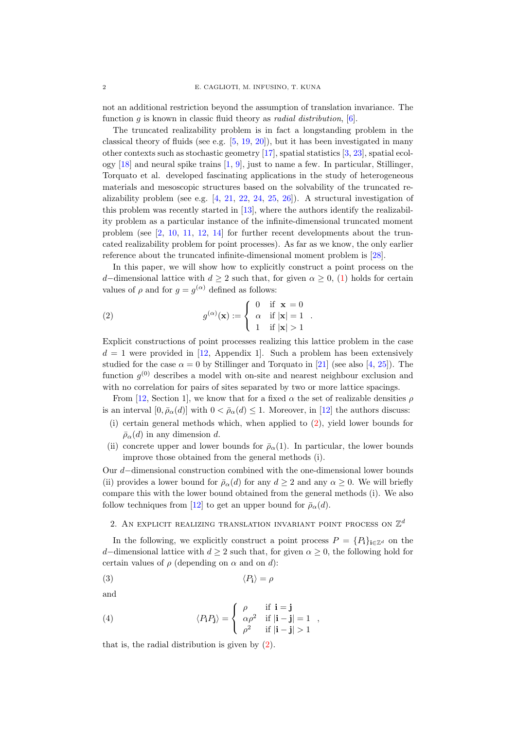not an additional restriction beyond the assumption of translation invariance. The function  $g$  is known in classic fluid theory as *radial distribution*, [\[6\]](#page-7-4).

The truncated realizability problem is in fact a longstanding problem in the classical theory of fluids (see e.g.  $[5, 19, 20]$  $[5, 19, 20]$  $[5, 19, 20]$  $[5, 19, 20]$  $[5, 19, 20]$ ), but it has been investigated in many other contexts such as stochastic geometry [\[17\]](#page-7-8), spatial statistics [\[3,](#page-7-9) [23\]](#page-7-10), spatial ecology  $[18]$  and neural spike trains  $[1, 9]$  $[1, 9]$  $[1, 9]$ , just to name a few. In particular, Stillinger, Torquato et al. developed fascinating applications in the study of heterogeneous materials and mesoscopic structures based on the solvability of the truncated realizability problem (see e.g. [\[4,](#page-7-14) [21,](#page-7-15) [22,](#page-7-16) [24,](#page-7-17) [25,](#page-7-18) [26\]](#page-7-19)). A structural investigation of this problem was recently started in [\[13\]](#page-7-20), where the authors identify the realizability problem as a particular instance of the infinite-dimensional truncated moment problem (see  $\lbrack 2, 10, 11, 12, 14 \rbrack$  $\lbrack 2, 10, 11, 12, 14 \rbrack$  $\lbrack 2, 10, 11, 12, 14 \rbrack$  $\lbrack 2, 10, 11, 12, 14 \rbrack$  $\lbrack 2, 10, 11, 12, 14 \rbrack$  $\lbrack 2, 10, 11, 12, 14 \rbrack$  $\lbrack 2, 10, 11, 12, 14 \rbrack$  for further recent developments about the truncated realizability problem for point processes). As far as we know, the only earlier reference about the truncated infinite-dimensional moment problem is [\[28\]](#page-8-0).

In this paper, we will show how to explicitly construct a point process on the d–dimensional lattice with  $d \geq 2$  such that, for given  $\alpha \geq 0$ , [\(1\)](#page-0-0) holds for certain values of  $\rho$  and for  $g = g^{(\alpha)}$  defined as follows:

<span id="page-1-0"></span>(2) 
$$
g^{(\alpha)}(\mathbf{x}) := \begin{cases} 0 & \text{if } \mathbf{x} = 0 \\ \alpha & \text{if } |\mathbf{x}| = 1 \\ 1 & \text{if } |\mathbf{x}| > 1 \end{cases}
$$

Explicit constructions of point processes realizing this lattice problem in the case  $d = 1$  were provided in [\[12,](#page-7-24) Appendix 1]. Such a problem has been extensively studied for the case  $\alpha = 0$  by Stillinger and Torquato in [\[21\]](#page-7-15) (see also [\[4,](#page-7-14) [25\]](#page-7-18)). The function  $g^{(0)}$  describes a model with on-site and nearest neighbour exclusion and with no correlation for pairs of sites separated by two or more lattice spacings.

From [\[12,](#page-7-24) Section 1], we know that for a fixed  $\alpha$  the set of realizable densities  $\rho$ is an interval  $[0, \bar{\rho}_{\alpha}(d)]$  with  $0 < \bar{\rho}_{\alpha}(d) \leq 1$ . Moreover, in [\[12\]](#page-7-24) the authors discuss:

- (i) certain general methods which, when applied to [\(2\)](#page-1-0), yield lower bounds for  $\bar{\rho}_{\alpha}(d)$  in any dimension d.
- (ii) concrete upper and lower bounds for  $\bar{\rho}_{\alpha}(1)$ . In particular, the lower bounds improve those obtained from the general methods (i).

Our d−dimensional construction combined with the one-dimensional lower bounds (ii) provides a lower bound for  $\bar{\rho}_{\alpha}(d)$  for any  $d \geq 2$  and any  $\alpha \geq 0$ . We will briefly compare this with the lower bound obtained from the general methods (i). We also follow techniques from [\[12\]](#page-7-24) to get an upper bound for  $\bar{\rho}_{\alpha}(d)$ .

# <span id="page-1-3"></span>2. AN EXPLICIT REALIZING TRANSLATION INVARIANT POINT PROCESS ON  $\mathbb{Z}^d$

In the following, we explicitly construct a point process  $P = \{P_i\}_{i \in \mathbb{Z}^d}$  on the d–dimensional lattice with  $d \geq 2$  such that, for given  $\alpha \geq 0$ , the following hold for certain values of  $\rho$  (depending on  $\alpha$  and on d):

<span id="page-1-1"></span>
$$
\langle P_{\mathbf{i}} \rangle = \rho
$$

and

<span id="page-1-2"></span>(4) 
$$
\langle P_{\mathbf{i}} P_{\mathbf{j}} \rangle = \begin{cases} \rho & \text{if } \mathbf{i} = \mathbf{j} \\ \alpha \rho^2 & \text{if } |\mathbf{i} - \mathbf{j}| = 1 \\ \rho^2 & \text{if } |\mathbf{i} - \mathbf{j}| > 1 \end{cases}
$$

that is, the radial distribution is given by [\(2\)](#page-1-0).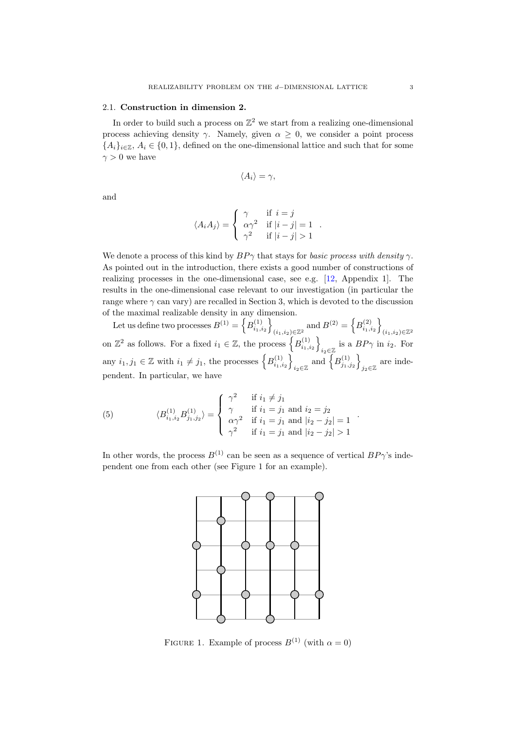## 2.1. Construction in dimension 2.

In order to build such a process on  $\mathbb{Z}^2$  we start from a realizing one-dimensional process achieving density  $\gamma$ . Namely, given  $\alpha \geq 0$ , we consider a point process  ${A_i}_{i \in \mathbb{Z}}$ ,  $A_i \in \{0,1\}$ , defined on the one-dimensional lattice and such that for some  $\gamma > 0$  we have

$$
\langle A_i \rangle = \gamma,
$$

and

$$
\langle A_i A_j \rangle = \begin{cases} \gamma & \text{if } i = j \\ \alpha \gamma^2 & \text{if } |i - j| = 1 \\ \gamma^2 & \text{if } |i - j| > 1 \end{cases}
$$

.

.

We denote a process of this kind by  $BP\gamma$  that stays for *basic process with density*  $\gamma$ . As pointed out in the introduction, there exists a good number of constructions of realizing processes in the one-dimensional case, see e.g. [\[12,](#page-7-24) Appendix 1]. The results in the one-dimensional case relevant to our investigation (in particular the range where  $\gamma$  can vary) are recalled in Section 3, which is devoted to the discussion of the maximal realizable density in any dimension.

Let us define two processes  $B^{(1)} = \left\{ B^{(1)}_{i_1,i_2} \right\}$  $(i_1,i_2) \in \mathbb{Z}^2$  and  $B^{(2)} = \left\{ B^{(2)}_{i_1,i_2} \right\}$  $(i_1,i_2){\in}\mathbb{Z}^2$ on  $\mathbb{Z}^2$  as follows. For a fixed  $i_1 \in \mathbb{Z}$ , the process  $\left\{B_{i_1,i_2}^{(1)}\right\}$ i<sub>2</sub>∈ $\mathbb{Z}$  is a  $BP\gamma$  in *i*<sub>2</sub>. For any  $i_1, j_1 \in \mathbb{Z}$  with  $i_1 \neq j_1$ , the processes  $\left\{B_{i_1,i_2}^{(1)}\right\}$  $_{i_2 \in \mathbb{Z}}$  and  $\left\{ B^{(1)}_{j_1, j_2} \right\}$ are inde-<br> $j_2 \in \mathbb{Z}$ pendent. In particular, we have

<span id="page-2-0"></span>(5) 
$$
\langle B_{i_1,i_2}^{(1)} B_{j_1,j_2}^{(1)} \rangle = \begin{cases} \gamma^2 & \text{if } i_1 \neq j_1 \\ \gamma & \text{if } i_1 = j_1 \text{ and } i_2 = j_2 \\ \alpha \gamma^2 & \text{if } i_1 = j_1 \text{ and } |i_2 - j_2| = 1 \\ \gamma^2 & \text{if } i_1 = j_1 \text{ and } |i_2 - j_2| > 1 \end{cases}
$$

In other words, the process  $B^{(1)}$  can be seen as a sequence of vertical  $BP\gamma$ 's independent one from each other (see Figure 1 for an example).



FIGURE 1. Example of process  $B^{(1)}$  (with  $\alpha = 0$ )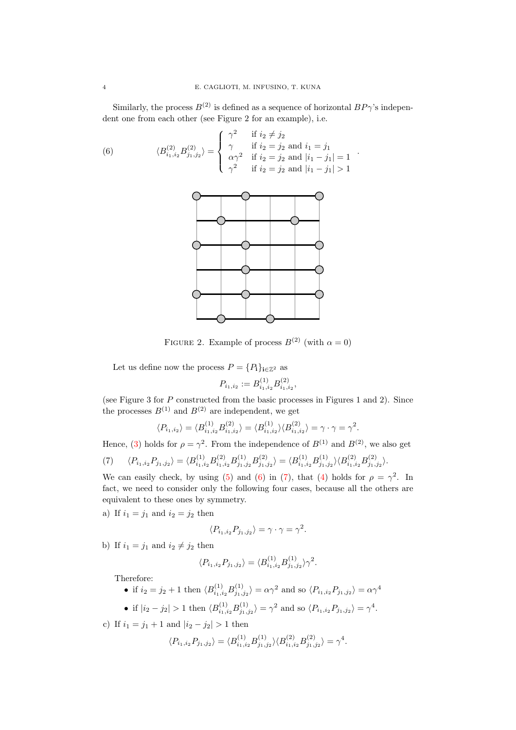Similarly, the process  $B^{(2)}$  is defined as a sequence of horizontal  $BP\gamma$ 's independent one from each other (see Figure 2 for an example), i.e.

(6) 
$$
\langle B_{i_1,i_2}^{(2)} B_{j_1,j_2}^{(2)} \rangle = \begin{cases} \gamma^2 & \text{if } i_2 \neq j_2 \\ \gamma & \text{if } i_2 = j_2 \text{ and } i_1 = j_1 \\ \alpha \gamma^2 & \text{if } i_2 = j_2 \text{ and } |i_1 - j_1| = 1 \\ \gamma^2 & \text{if } i_2 = j_2 \text{ and } |i_1 - j_1| > 1 \end{cases}.
$$

<span id="page-3-0"></span>

FIGURE 2. Example of process  $B^{(2)}$  (with  $\alpha = 0$ )

Let us define now the process  $P = \{P_{\textbf{i}}\}_{\textbf{i}\in\mathbb{Z}^2}$  as

$$
P_{i_1,i_2} := B^{(1)}_{i_1,i_2} B^{(2)}_{i_1,i_2},
$$

(see Figure 3 for P constructed from the basic processes in Figures 1 and 2). Since the processes  $B^{(1)}$  and  $B^{(2)}$  are independent, we get

$$
\langle P_{i_1,i_2} \rangle = \langle B_{i_1,i_2}^{(1)} B_{i_1,i_2}^{(2)} \rangle = \langle B_{i_1,i_2}^{(1)} \rangle \langle B_{i_1,i_2}^{(2)} \rangle = \gamma \cdot \gamma = \gamma^2.
$$

<span id="page-3-1"></span>Hence, [\(3\)](#page-1-1) holds for  $\rho = \gamma^2$ . From the independence of  $B^{(1)}$  and  $B^{(2)}$ , we also get  $\langle T \rangle \hspace{0.5cm} \langle P_{i_1,i_2} P_{j_1,j_2} \rangle = \langle B^{(1)}_{i_1,i_2} B^{(2)}_{i_1,i_2} B^{(1)}_{j_1,j_2} B^{(2)}_{j_1,j_2} \rangle = \langle B^{(1)}_{i_1,i_2} B^{(1)}_{j_1,j_2} \rangle \langle B^{(2)}_{i_1,i_2} B^{(2)}_{j_1,j_2} \rangle.$ 

We can easily check, by using [\(5\)](#page-2-0) and [\(6\)](#page-3-0) in [\(7\)](#page-3-1), that [\(4\)](#page-1-2) holds for  $\rho = \gamma^2$ . In fact, we need to consider only the following four cases, because all the others are equivalent to these ones by symmetry.

a) If  $i_1 = j_1$  and  $i_2 = j_2$  then

$$
\langle P_{i_1,i_2} P_{j_1,j_2} \rangle = \gamma \cdot \gamma = \gamma^2.
$$

b) If  $i_1 = j_1$  and  $i_2 \neq j_2$  then

$$
\langle P_{i_1,i_2} P_{j_1,j_2} \rangle = \langle B_{i_1,i_2}^{(1)} B_{j_1,j_2}^{(1)} \rangle \gamma^2.
$$

Therefore:

• if 
$$
i_2 = j_2 + 1
$$
 then  $\langle B_{i_1, i_2}^{(1)} B_{j_1, j_2}^{(1)} \rangle = \alpha \gamma^2$  and so  $\langle P_{i_1, i_2} P_{j_1, j_2} \rangle = \alpha \gamma^4$ 

• if  $|i_2 - j_2| > 1$  then  $\langle B_{i_1, i_2}^{(1)} B_{j_1, j_2}^{(1)} \rangle = \gamma^2$  and so  $\langle P_{i_1, i_2} P_{j_1, j_2} \rangle = \gamma^4$ .

c) If  $i_1 = j_1 + 1$  and  $|i_2 - j_2| > 1$  then

$$
\langle P_{i_1,i_2} P_{j_1,j_2} \rangle = \langle B_{i_1,i_2}^{(1)} B_{j_1,j_2}^{(1)} \rangle \langle B_{i_1,i_2}^{(2)} B_{j_1,j_2}^{(2)} \rangle = \gamma^4.
$$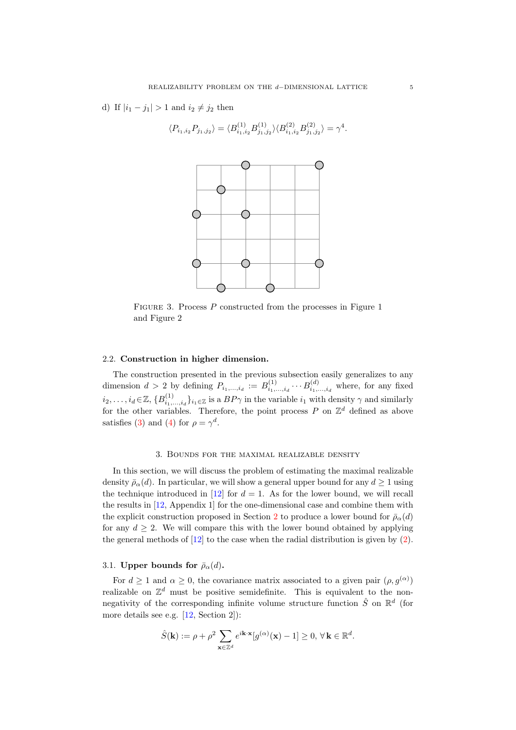d) If  $|i_1 - j_1| > 1$  and  $i_2 \neq j_2$  then

$$
\langle P_{i_1,i_2}P_{j_1,j_2}\rangle = \langle B^{(1)}_{i_1,i_2}B^{(1)}_{j_1,j_2}\rangle \langle B^{(2)}_{i_1,i_2}B^{(2)}_{j_1,j_2}\rangle = \gamma^4.
$$



FIGURE 3. Process P constructed from the processes in Figure 1 and Figure 2

### 2.2. Construction in higher dimension.

The construction presented in the previous subsection easily generalizes to any dimension  $d > 2$  by defining  $P_{i_1,\dots,i_d} := B^{(1)}_{i_1,\dots,i_d} \cdots B^{(d)}_{i_1,\dots,i_d}$  where, for any fixed  $i_2,\ldots,i_d\!\in\!\mathbb{Z},\{B^{(1)}_{i_1,\ldots,i_d}\}_{i_1\in\mathbb{Z}}$  is a  $BP\gamma$  in the variable  $i_1$  with density  $\gamma$  and similarly for the other variables. Therefore, the point process P on  $\mathbb{Z}^d$  defined as above satisfies [\(3\)](#page-1-1) and [\(4\)](#page-1-2) for  $\rho = \gamma^d$ .

### 3. Bounds for the maximal realizable density

In this section, we will discuss the problem of estimating the maximal realizable density  $\bar{\rho}_{\alpha}(d)$ . In particular, we will show a general upper bound for any  $d \geq 1$  using the technique introduced in [\[12\]](#page-7-24) for  $d = 1$ . As for the lower bound, we will recall the results in [\[12,](#page-7-24) Appendix 1] for the one-dimensional case and combine them with the explicit construction proposed in Section [2](#page-1-3) to produce a lower bound for  $\bar{p}_{\alpha}(d)$ for any  $d > 2$ . We will compare this with the lower bound obtained by applying the general methods of  $[12]$  to the case when the radial distribution is given by  $(2)$ .

# 3.1. Upper bounds for  $\bar{\rho}_{\alpha}(d)$ .

For  $d \geq 1$  and  $\alpha \geq 0$ , the covariance matrix associated to a given pair  $(\rho, g^{(\alpha)})$ realizable on  $\mathbb{Z}^d$  must be positive semidefinite. This is equivalent to the nonnegativity of the corresponding infinite volume structure function  $\hat{S}$  on  $\mathbb{R}^d$  (for more details see e.g. [\[12,](#page-7-24) Section 2]):

$$
\hat{S}(\mathbf{k}) := \rho + \rho^2 \sum_{\mathbf{x} \in \mathbb{Z}^d} e^{i\mathbf{k} \cdot \mathbf{x}} [g^{(\alpha)}(\mathbf{x}) - 1] \ge 0, \,\forall \,\mathbf{k} \in \mathbb{R}^d.
$$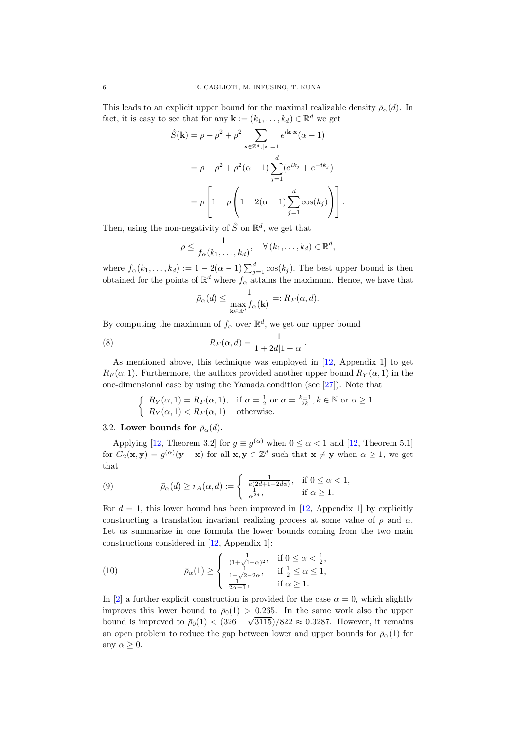This leads to an explicit upper bound for the maximal realizable density  $\bar{\rho}_{\alpha}(d)$ . In fact, it is easy to see that for any  $\mathbf{k} := (k_1, \ldots, k_d) \in \mathbb{R}^d$  we get

$$
\hat{S}(\mathbf{k}) = \rho - \rho^2 + \rho^2 \sum_{\mathbf{x} \in \mathbb{Z}^d, |\mathbf{x}| = 1} e^{i\mathbf{k} \cdot \mathbf{x}} (\alpha - 1)
$$

$$
= \rho - \rho^2 + \rho^2 (\alpha - 1) \sum_{j=1}^d (e^{ik_j} + e^{-ik_j})
$$

$$
= \rho \left[ 1 - \rho \left( 1 - 2(\alpha - 1) \sum_{j=1}^d \cos(k_j) \right) \right].
$$

Then, using the non-negativity of  $\hat{S}$  on  $\mathbb{R}^d$ , we get that

$$
\rho \leq \frac{1}{f_{\alpha}(k_1,\ldots,k_d)}, \quad \forall (k_1,\ldots,k_d) \in \mathbb{R}^d,
$$

where  $f_{\alpha}(k_1,\ldots,k_d) := 1 - 2(\alpha-1) \sum_{j=1}^d \cos(k_j)$ . The best upper bound is then obtained for the points of  $\mathbb{R}^d$  where  $f_\alpha$  attains the maximum. Hence, we have that

<span id="page-5-2"></span>
$$
\bar{\rho}_{\alpha}(d) \le \frac{1}{\max_{\mathbf{k} \in \mathbb{R}^d} f_{\alpha}(\mathbf{k})} =: R_F(\alpha, d).
$$

By computing the maximum of  $f_{\alpha}$  over  $\mathbb{R}^d$ , we get our upper bound

(8) 
$$
R_F(\alpha, d) = \frac{1}{1 + 2d|1 - \alpha|}.
$$

As mentioned above, this technique was employed in [\[12,](#page-7-24) Appendix 1] to get  $R_F(\alpha, 1)$ . Furthermore, the authors provided another upper bound  $R_Y(\alpha, 1)$  in the one-dimensional case by using the Yamada condition (see [\[27\]](#page-8-1)). Note that

$$
\begin{cases}\nR_Y(\alpha, 1) = R_F(\alpha, 1), & \text{if } \alpha = \frac{1}{2} \text{ or } \alpha = \frac{k+1}{2k}, k \in \mathbb{N} \text{ or } \alpha \ge 1 \\
R_Y(\alpha, 1) < R_F(\alpha, 1) \text{ otherwise.}\n\end{cases}
$$

## 3.2. Lower bounds for  $\bar{\rho}_{\alpha}(d)$ .

Applying [\[12,](#page-7-24) Theorem 3.2] for  $g \equiv g^{(\alpha)}$  when  $0 \leq \alpha < 1$  and [12, Theorem 5.1] for  $G_2(\mathbf{x}, \mathbf{y}) = g^{(\alpha)}(\mathbf{y} - \mathbf{x})$  for all  $\mathbf{x}, \mathbf{y} \in \mathbb{Z}^d$  such that  $\mathbf{x} \neq \mathbf{y}$  when  $\alpha \geq 1$ , we get that

<span id="page-5-0"></span>(9) 
$$
\bar{\rho}_{\alpha}(d) \ge r_A(\alpha, d) := \begin{cases} \frac{1}{e(2d+1-2d\alpha)}, & \text{if } 0 \le \alpha < 1, \\ \frac{1}{\alpha^{2d}}, & \text{if } \alpha \ge 1. \end{cases}
$$

For  $d = 1$ , this lower bound has been improved in [\[12,](#page-7-24) Appendix 1] by explicitly constructing a translation invariant realizing process at some value of  $\rho$  and  $\alpha$ . Let us summarize in one formula the lower bounds coming from the two main constructions considered in [\[12,](#page-7-24) Appendix 1]:

<span id="page-5-1"></span>(10) 
$$
\bar{\rho}_{\alpha}(1) \ge \begin{cases} \frac{1}{(1+\sqrt{1-\alpha})^2}, & \text{if } 0 \le \alpha < \frac{1}{2}, \\ \frac{1}{1+\sqrt{2-2\alpha}}, & \text{if } \frac{1}{2} \le \alpha \le 1, \\ \frac{1}{2\alpha-1}, & \text{if } \alpha \ge 1. \end{cases}
$$

In [\[2\]](#page-7-21) a further explicit construction is provided for the case  $\alpha = 0$ , which slightly improves this lower bound to  $\bar{\rho}_0(1) > 0.265$ . In the same work also the upper bound is improved to  $\bar{\rho}_0(1) < (326 - \sqrt{3115})/822 \approx 0.3287$ . However, it remains an open problem to reduce the gap between lower and upper bounds for  $\bar{\rho}_{\alpha}(1)$  for any  $\alpha \geq 0$ .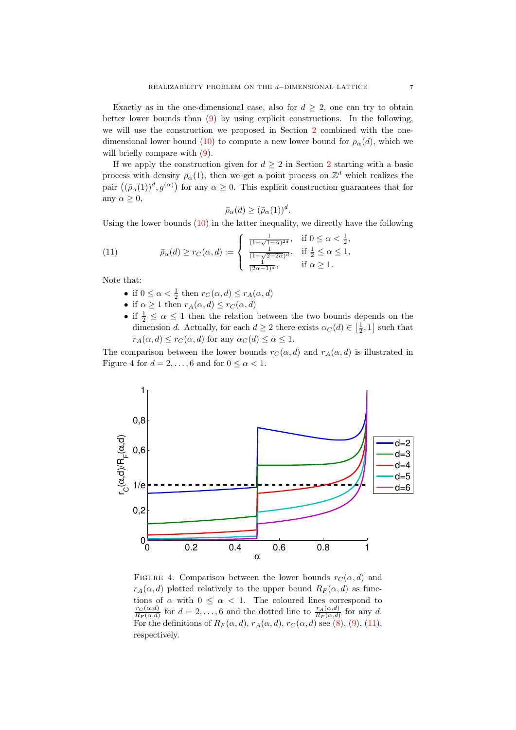Exactly as in the one-dimensional case, also for  $d \geq 2$ , one can try to obtain better lower bounds than [\(9\)](#page-5-0) by using explicit constructions. In the following, we will use the construction we proposed in Section [2](#page-1-3) combined with the one-dimensional lower bound [\(10\)](#page-5-1) to compute a new lower bound for  $\bar{\rho}_{\alpha}(d)$ , which we will briefly compare with  $(9)$ .

If we apply the construction given for  $d \geq 2$  $d \geq 2$  in Section 2 starting with a basic process with density  $\bar{\rho}_{\alpha}(1)$ , then we get a point process on  $\mathbb{Z}^d$  which realizes the pair  $((\bar{\rho}_{\alpha}(1))^d, g^{(\alpha)})$  for any  $\alpha \geq 0$ . This explicit construction guarantees that for any  $\alpha \geq 0$ ,

$$
\bar{\rho}_{\alpha}(d) \ge (\bar{\rho}_{\alpha}(1))^d.
$$

Using the lower bounds  $(10)$  in the latter inequality, we directly have the following

(11) 
$$
\bar{\rho}_{\alpha}(d) \ge r_C(\alpha, d) := \begin{cases} \frac{1}{(1+\sqrt{1-\alpha})^{2d}}, & \text{if } 0 \le \alpha < \frac{1}{2}, \\ \frac{1}{(1+\sqrt{2-2\alpha})^{d}}, & \text{if } \frac{1}{2} \le \alpha \le 1, \\ \frac{1}{(2\alpha-1)^{d}}, & \text{if } \alpha \ge 1. \end{cases}
$$

Note that:

- <span id="page-6-0"></span>• if  $0 \leq \alpha < \frac{1}{2}$  then  $r_C(\alpha, d) \leq r_A(\alpha, d)$
- if  $\alpha \geq 1$  then  $r_A(\alpha, d) \leq r_C(\alpha, d)$
- if  $\frac{1}{2} \leq \alpha \leq 1$  then the relation between the two bounds depends on the dimension d. Actually, for each  $d \geq 2$  there exists  $\alpha_C(d) \in \left[\frac{1}{2}, 1\right]$  such that  $r_A(\alpha, d) \leq r_C(\alpha, d)$  for any  $\alpha_C(d) \leq \alpha \leq 1$ .

The comparison between the lower bounds  $r_C(\alpha, d)$  and  $r_A(\alpha, d)$  is illustrated in Figure 4 for  $d = 2, \ldots, 6$  and for  $0 \leq \alpha < 1$ .



FIGURE 4. Comparison between the lower bounds  $r_C(\alpha, d)$  and  $r_A(\alpha, d)$  plotted relatively to the upper bound  $R_F(\alpha, d)$  as functions of  $\alpha$  with  $0 \leq \alpha < 1$ . The coloured lines correspond to  $r_{C}\!\left(\alpha,\!d\right)$  $\frac{r_C(\alpha,d)}{R_F(\alpha,d)}$  for  $d=2,\ldots,6$  and the dotted line to  $\frac{r_A(\alpha,d)}{R_F(\alpha,d)}$  for any d. For the definitions of  $R_F(\alpha, d)$ ,  $r_A(\alpha, d)$ ,  $r_C(\alpha, d)$  see [\(8\)](#page-5-2), [\(9\)](#page-5-0), [\(11\)](#page-6-0), respectively.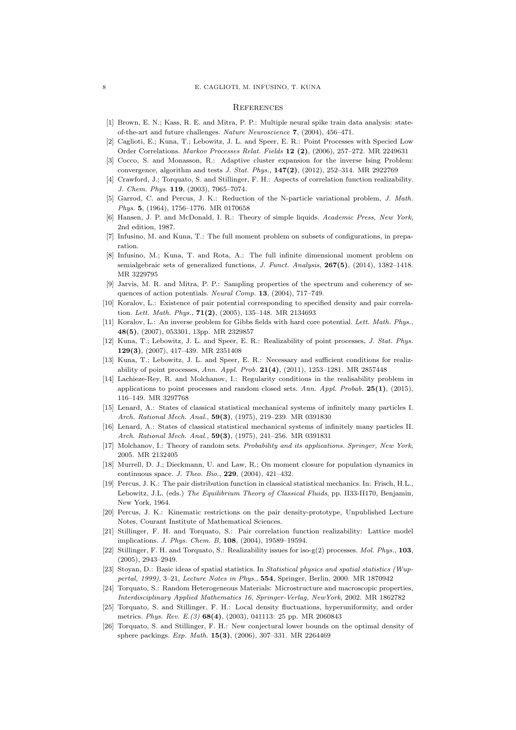#### **REFERENCES**

- <span id="page-7-12"></span>[1] Brown, E. N.; Kass, R. E. and Mitra, P. P.: Multiple neural spike train data analysis: stateof-the-art and future challenges. Nature Neuroscience 7, (2004), 456–471.
- <span id="page-7-21"></span>[2] Caglioti, E.; Kuna, T.; Lebowitz, J. L. and Speer, E. R.: Point Processes with Specied Low Order Correlations. Markov Processes Relat. Fields 12 (2), (2006), 257–272. MR 2249631
- <span id="page-7-9"></span>[3] Cocco, S. and Monasson, R.: Adaptive cluster expansion for the inverse Ising Problem: convergence, algorithm and tests J. Stat. Phys.,  $147(2)$ ,  $(2012)$ ,  $252-314$ . MR 2922769
- <span id="page-7-14"></span>[4] Crawford, J.; Torquato, S. and Stillinger, F. H.: Aspects of correlation function realizability. J. Chem. Phys. 119, (2003), 7065–7074.
- <span id="page-7-5"></span>[5] Garrod, C. and Percus, J. K.: Reduction of the N-particle variational problem, J. Math. Phys. 5, (1964), 1756-1776. MR 0170658
- <span id="page-7-4"></span>[6] Hansen, J. P. and McDonald, I. R.: Theory of simple liquids. Academic Press, New York, 2nd edition, 1987.
- <span id="page-7-2"></span>[7] Infusino, M. and Kuna, T.: The full moment problem on subsets of configurations, in preparation.
- <span id="page-7-3"></span>[8] Infusino, M.; Kuna, T. and Rota, A.: The full infinite dimensional moment problem on semialgebraic sets of generalized functions, J. Funct. Analysis, 267(5), (2014), 1382-1418. MR 3229795
- <span id="page-7-13"></span>[9] Jarvis, M. R. and Mitra, P. P.: Sampling properties of the spectrum and coherency of sequences of action potentials. Neural Comp. 13, (2004), 717–749.
- <span id="page-7-22"></span>[10] Koralov, L.: Existence of pair potential corresponding to specified density and pair correlation. Lett. Math. Phys., 71(2), (2005), 135–148. MR 2134693
- <span id="page-7-23"></span>[11] Koralov, L.: An inverse problem for Gibbs fields with hard core potential. Lett. Math. Phys., 48(5), (2007), 053301, 13pp. MR 2329857
- <span id="page-7-24"></span>[12] Kuna, T.; Lebowitz, J. L. and Speer, E. R.: Realizability of point processes, J. Stat. Phys. 129(3), (2007), 417–439. MR 2351408
- <span id="page-7-20"></span>[13] Kuna, T.; Lebowitz, J. L. and Speer, E. R.: Necessary and sufficient conditions for realizability of point processes, Ann. Appl. Prob. 21(4), (2011), 1253–1281. MR 2857448
- <span id="page-7-25"></span>[14] Lachieze-Rey, R. and Molchanov, I.: Regularity conditions in the realisability problem in applications to point processes and random closed sets. Ann. Appl. Probab.  $25(1)$ , (2015), 116–149. MR 3297768
- <span id="page-7-0"></span>[15] Lenard, A.: States of classical statistical mechanical systems of infinitely many particles I. Arch. Rational Mech. Anal., **59(3)**, (1975), 219-239. MR 0391830
- <span id="page-7-1"></span>[16] Lenard, A.: States of classical statistical mechanical systems of infinitely many particles II. Arch. Rational Mech. Anal., **59(3)**, (1975), 241–256. MR 0391831
- <span id="page-7-8"></span>[17] Molchanov, I.: Theory of random sets. Probability and its applications. Springer, New York, 2005. MR 2132405
- <span id="page-7-11"></span>[18] Murrell, D. J.; Dieckmann, U. and Law, R.; On moment closure for population dynamics in continuous space. J. Theo. Bio., 229, (2004), 421–432.
- <span id="page-7-6"></span>[19] Percus, J. K.: The pair distribution function in classical statistical mechanics. In: Frisch, H.L., Lebowitz, J.L. (eds.) The Equilibrium Theory of Classical Fluids, pp. II33-II170, Benjamin, New York, 1964.
- <span id="page-7-7"></span>[20] Percus, J. K.: Kinematic restrictions on the pair density-prototype, Unpublished Lecture Notes, Courant Institute of Mathematical Sciences.
- <span id="page-7-15"></span>[21] Stillinger, F. H. and Torquato, S.: Pair correlation function realizability: Lattice model implications. J. Phys. Chem. B, 108, (2004), 19589–19594.
- <span id="page-7-16"></span>[22] Stillinger, F. H. and Torquato, S.: Realizability issues for iso-g(2) processes. Mol. Phys., 103, (2005), 2943–2949.
- <span id="page-7-10"></span>[23] Stoyan, D.: Basic ideas of spatial statistics. In Statistical physics and spatial statistics (Wuppertal, 1999), 3–21, Lecture Notes in Phys., 554, Springer, Berlin, 2000. MR 1870942
- <span id="page-7-17"></span>[24] Torquato, S.: Random Heterogeneous Materials: Microstructure and macroscopic properties, Interdisciplinary Applied Mathematics 16, Springer-Verlag, NewYork, 2002. MR 1862782
- <span id="page-7-18"></span>[25] Torquato, S. and Stillinger, F. H.: Local density fluctuations, hyperuniformity, and order metrics. Phys. Rev. E.(3) 68(4), (2003), 041113: 25 pp. MR 2060843
- <span id="page-7-19"></span>[26] Torquato, S. and Stillinger, F. H.: New conjectural lower bounds on the optimal density of sphere packings. Exp. Math. 15(3), (2006), 307–331. MR 2264469